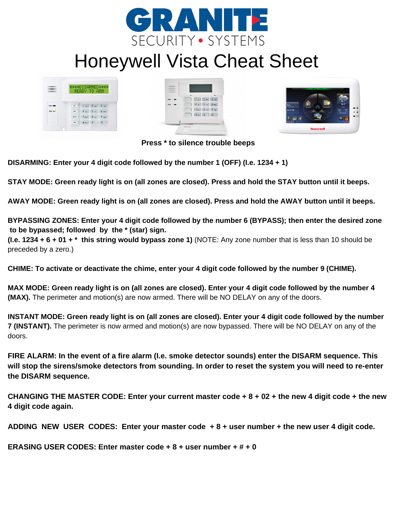

## Honeywell Vista Cheat Sheet

|              | ****DISARMED****<br>READY TO ARM              |         |  |
|--------------|-----------------------------------------------|---------|--|
|              |                                               |         |  |
|              |                                               |         |  |
| <b>AZACC</b> | $1 \times 2 \times 3 \times$<br>1744          |         |  |
| <b>REACH</b> | $\frac{1}{2}$ 5 $\frac{1}{2}$<br><b>ANCES</b> | 6.002   |  |
|              | $7$ man $8$ mm<br>POLICE                      | $9 - 9$ |  |
|              | $\vert$ 0<br>NOT<br>* assor                   | £       |  |





**Press \* to silence trouble beeps**

**DISARMING: Enter your 4 digit code followed by the number 1 (OFF) (I.e. 1234 + 1)**

STAY MODE: Green ready light is on (all zones are closed). Press and hold the STAY button until it beeps.

AWAY MODE: Green ready light is on (all zones are closed). Press and hold the AWAY button until it beeps.

BYPASSING ZONES: Enter your 4 digit code followed by the number 6 (BYPASS); then enter the desired zone **to be bypassed; followed by the \* (star) sign.**

**(I.e. 1234 + 6 + 01 + \* this string would bypass zone 1)** (NOTE: Any zone number that is less than 10 should be preceded by a zero.)

CHIME: To activate or deactivate the chime, enter your 4 digit code followed by the number 9 (CHIME).

MAX MODE: Green ready light is on (all zones are closed). Enter your 4 digit code followed by the number 4 **(MAX).** The perimeter and motion(s) are now armed. There will be NO DELAY on any of the doors.

INSTANT MODE: Green ready light is on (all zones are closed). Enter your 4 digit code followed by the number **7 (INSTANT).** The perimeter is now armed and motion(s) are now bypassed. There will be NO DELAY on any of the doors.

FIRE ALARM: In the event of a fire alarm (I.e. smoke detector sounds) enter the DISARM sequence. This will stop the sirens/smoke detectors from sounding. In order to reset the system you will need to re-enter **the DISARM sequence.**

CHANGING THE MASTER CODE: Enter your current master code  $+8 + 02 +$  the new 4 digit code  $+$  the new **4 digit code again.**

ADDING NEW USER CODES: Enter your master code +8 + user number + the new user 4 digit code.

**ERASING USER CODES: Enter master code + 8 + user number + # + 0**